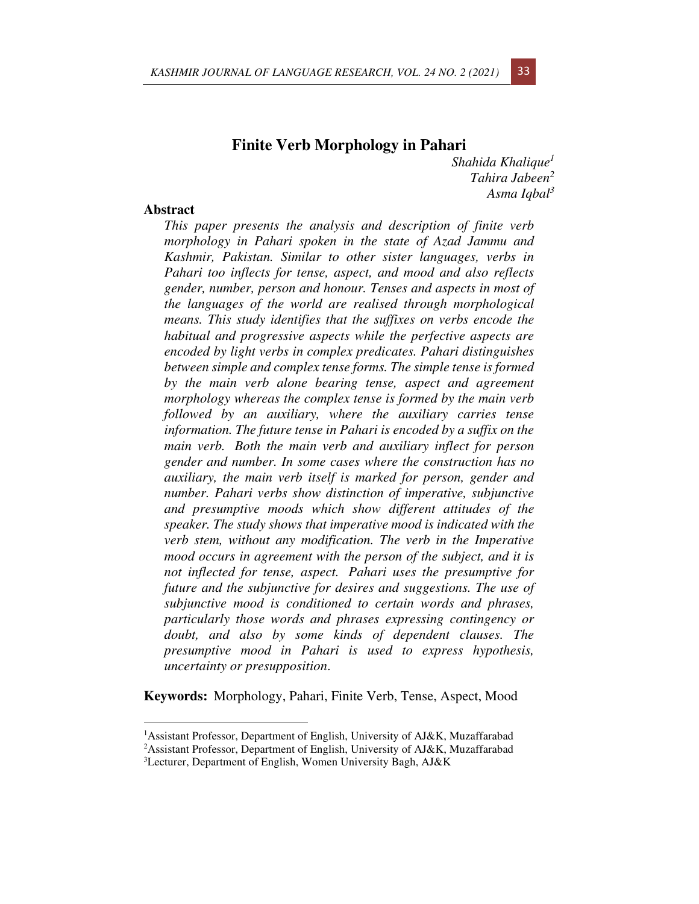# **Finite Verb Morphology in Pahari**

*Shahida Khalique<sup>1</sup> Tahira Jabeen<sup>2</sup> Asma Iqbal<sup>3</sup>*

## **Abstract**

*This paper presents the analysis and description of finite verb morphology in Pahari spoken in the state of Azad Jammu and Kashmir, Pakistan. Similar to other sister languages, verbs in Pahari too inflects for tense, aspect, and mood and also reflects gender, number, person and honour. Tenses and aspects in most of the languages of the world are realised through morphological means. This study identifies that the suffixes on verbs encode the habitual and progressive aspects while the perfective aspects are encoded by light verbs in complex predicates. Pahari distinguishes between simple and complex tense forms. The simple tense is formed by the main verb alone bearing tense, aspect and agreement morphology whereas the complex tense is formed by the main verb followed by an auxiliary, where the auxiliary carries tense information. The future tense in Pahari is encoded by a suffix on the main verb. Both the main verb and auxiliary inflect for person gender and number. In some cases where the construction has no auxiliary, the main verb itself is marked for person, gender and number. Pahari verbs show distinction of imperative, subjunctive and presumptive moods which show different attitudes of the speaker. The study shows that imperative mood is indicated with the verb stem, without any modification. The verb in the Imperative mood occurs in agreement with the person of the subject, and it is not inflected for tense, aspect. Pahari uses the presumptive for future and the subjunctive for desires and suggestions. The use of subjunctive mood is conditioned to certain words and phrases, particularly those words and phrases expressing contingency or doubt, and also by some kinds of dependent clauses. The presumptive mood in Pahari is used to express hypothesis, uncertainty or presupposition*.

**Keywords:**Morphology, Pahari, Finite Verb, Tense, Aspect, Mood



<sup>1</sup>Assistant Professor, Department of English, University of AJ&K, Muzaffarabad <sup>2</sup>Assistant Professor, Department of English, University of AJ&K, Muzaffarabad

<sup>3</sup>Lecturer, Department of English, Women University Bagh, AJ&K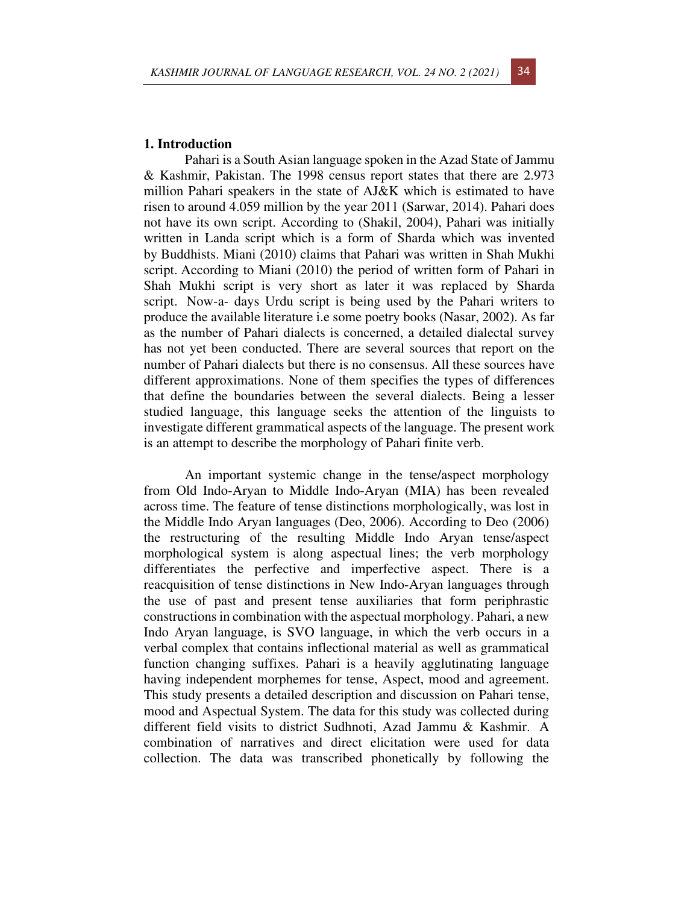### **1. Introduction**

Pahari is a South Asian language spoken in the Azad State of Jammu & Kashmir, Pakistan. The 1998 census report states that there are 2.973 million Pahari speakers in the state of AJ&K which is estimated to have risen to around 4.059 million by the year 2011 (Sarwar, 2014). Pahari does not have its own script. According to (Shakil, 2004), Pahari was initially written in Landa script which is a form of Sharda which was invented by Buddhists. Miani (2010) claims that Pahari was written in Shah Mukhi script. According to Miani (2010) the period of written form of Pahari in Shah Mukhi script is very short as later it was replaced by Sharda script. Now-a- days Urdu script is being used by the Pahari writers to produce the available literature i.e some poetry books (Nasar, 2002). As far as the number of Pahari dialects is concerned, a detailed dialectal survey has not yet been conducted. There are several sources that report on the number of Pahari dialects but there is no consensus. All these sources have different approximations. None of them specifies the types of differences that define the boundaries between the several dialects. Being a lesser studied language, this language seeks the attention of the linguists to investigate different grammatical aspects of the language. The present work is an attempt to describe the morphology of Pahari finite verb.

An important systemic change in the tense/aspect morphology from Old Indo-Aryan to Middle Indo-Aryan (MIA) has been revealed across time. The feature of tense distinctions morphologically, was lost in the Middle Indo Aryan languages (Deo, 2006). According to Deo (2006) the restructuring of the resulting Middle Indo Aryan tense/aspect morphological system is along aspectual lines; the verb morphology differentiates the perfective and imperfective aspect. There is a reacquisition of tense distinctions in New Indo-Aryan languages through the use of past and present tense auxiliaries that form periphrastic constructions in combination with the aspectual morphology. Pahari, a new Indo Aryan language, is SVO language, in which the verb occurs in a verbal complex that contains inflectional material as well as grammatical function changing suffixes. Pahari is a heavily agglutinating language having independent morphemes for tense, Aspect, mood and agreement. This study presents a detailed description and discussion on Pahari tense, mood and Aspectual System. The data for this study was collected during different field visits to district Sudhnoti, Azad Jammu & Kashmir. A combination of narratives and direct elicitation were used for data collection. The data was transcribed phonetically by following the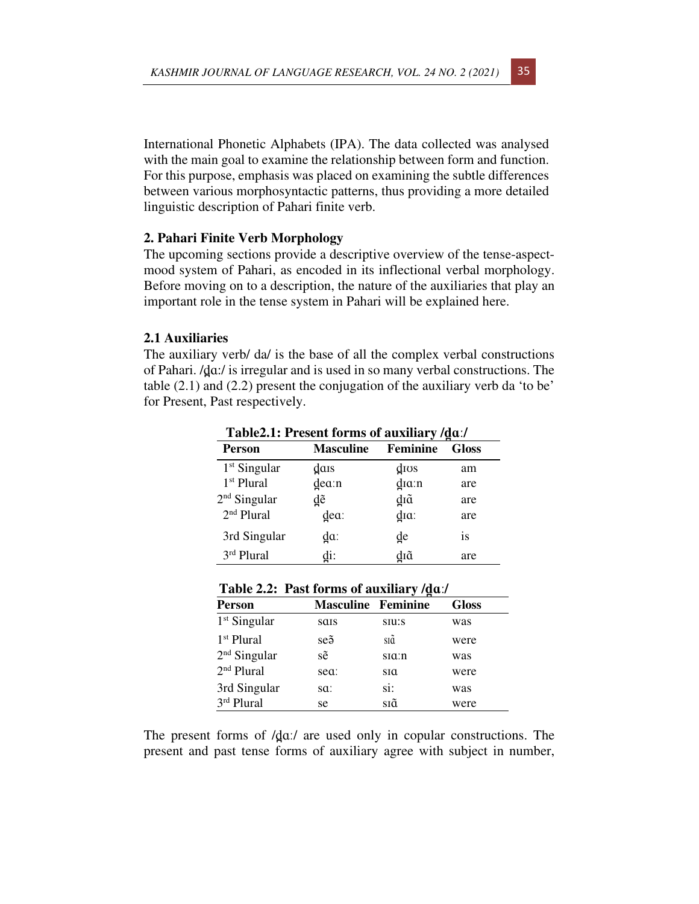International Phonetic Alphabets (IPA). The data collected was analysed with the main goal to examine the relationship between form and function. For this purpose, emphasis was placed on examining the subtle differences between various morphosyntactic patterns, thus providing a more detailed linguistic description of Pahari finite verb.

## **2. Pahari Finite Verb Morphology**

The upcoming sections provide a descriptive overview of the tense-aspectmood system of Pahari, as encoded in its inflectional verbal morphology. Before moving on to a description, the nature of the auxiliaries that play an important role in the tense system in Pahari will be explained here.

## **2.1 Auxiliaries**

The auxiliary verb/ da/ is the base of all the complex verbal constructions of Pahari. /d̪ɑː/ is irregular and is used in so many verbal constructions. The table (2.1) and (2.2) present the conjugation of the auxiliary verb da 'to be' for Present, Past respectively.

| Table2.1: Present forms of auxiliary /dd./ |                  |                      |              |  |
|--------------------------------------------|------------------|----------------------|--------------|--|
| Person                                     | <b>Masculine</b> | Feminine             | <b>Gloss</b> |  |
| $1st$ Singular                             | dais             | $d$ <sub>IOS</sub>   | am           |  |
| 1 <sup>st</sup> Plural                     | $d$ e $a$ :n     | $d$ <sub>ia</sub> :n | are          |  |
| $2nd$ Singular                             | ₫ẽ               | ₫īã                  | are          |  |
| 2 <sup>nd</sup> Plural                     | dea:             | $d$ <sub>ia</sub> :  | are          |  |
| 3rd Singular                               | ₫α:              | ₫e                   | <i>is</i>    |  |
| 3rd Plural                                 | di:              | dıã                  | are          |  |

**Table2.1: Present forms of auxiliary /d̪ɑː/** 

| Table 2.2: Past forms of auxiliary $\frac{d}{du}$ . |
|-----------------------------------------------------|
|-----------------------------------------------------|

| <b>Person</b>          | <b>Masculine Feminine</b> | . .                  | <b>Gloss</b> |
|------------------------|---------------------------|----------------------|--------------|
| $1st$ Singular         | sais                      | S <sub>II</sub> :S   | was          |
| $1st$ Plural           | $se\tilde{a}$             | SIQ                  | were         |
| $2nd$ Singular         | sẽ                        | $s$ $a$ : $n$        | was          |
| 2 <sup>nd</sup> Plural | sea:                      | $\operatorname{sta}$ | were         |
| 3rd Singular           | sa:                       | si:                  | was          |
| 3rd Plural             | se                        | sıã                  | were         |

The present forms of  $d\alpha$ . are used only in copular constructions. The present and past tense forms of auxiliary agree with subject in number,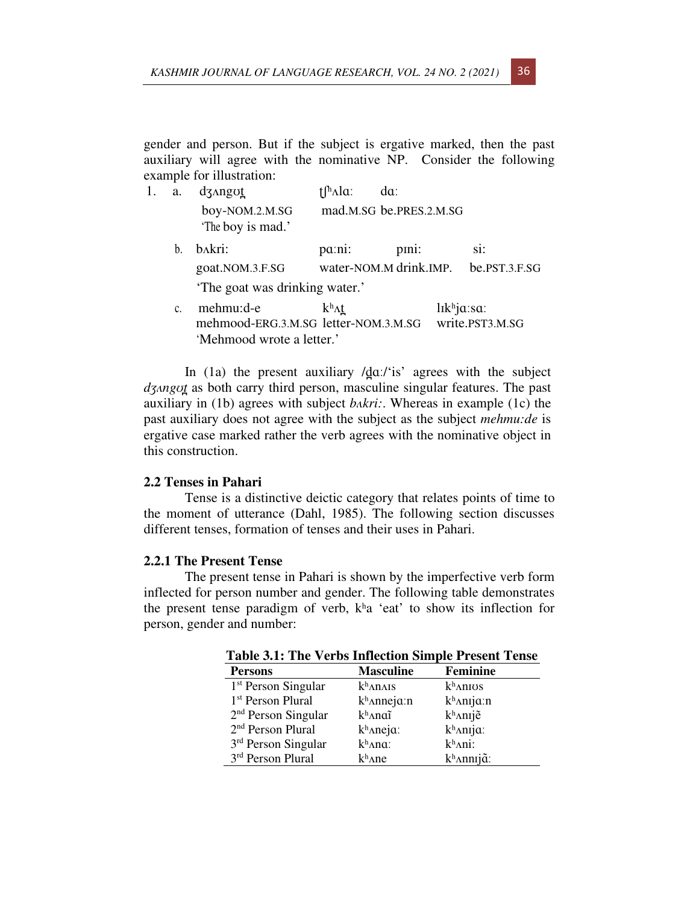gender and person. But if the subject is ergative marked, then the past auxiliary will agree with the nominative NP. Consider the following example for illustration:

| 1. | a. | dz <sub>Angu</sub> t                              | $\int h \Lambda \alpha$ | da:                     |                                                        |
|----|----|---------------------------------------------------|-------------------------|-------------------------|--------------------------------------------------------|
|    |    | boy-NOM.2.M.SG<br>'The boy is mad.'               |                         | mad.M.SG be.PRES.2.M.SG |                                                        |
|    | b. | bakri:                                            | pa:ni:                  | pini:                   | $Si$ :                                                 |
|    |    | goat.NOM.3.F.SG                                   |                         | water-NOM.M drink.IMP.  | be.PST.3.F.SG                                          |
|    |    | 'The goat was drinking water.'                    |                         |                         |                                                        |
|    | C. | mehmu:d-e<br>mehmood-ERG.3.M.SG letter-NOM.3.M.SG | $k^h \Lambda t$         |                         | $l$ <sub>ik<sup>h</sup>ja:sa:</sub><br>write.PST3.M.SG |
|    |    | 'Mehmood wrote a letter.'                         |                         |                         |                                                        |

In (1a) the present auxiliary  $\frac{d}{dx}$ ; is' agrees with the subject *dʒʌngʊt̪*as both carry third person, masculine singular features. The past auxiliary in (1b) agrees with subject *bʌkri:*. Whereas in example (1c) the past auxiliary does not agree with the subject as the subject *mehmu:de* is ergative case marked rather the verb agrees with the nominative object in this construction.

#### **2.2 Tenses in Pahari**

Tense is a distinctive deictic category that relates points of time to the moment of utterance (Dahl, 1985). The following section discusses different tenses, formation of tenses and their uses in Pahari.

#### **2.2.1 The Present Tense**

The present tense in Pahari is shown by the imperfective verb form inflected for person number and gender. The following table demonstrates the present tense paradigm of verb,  $k<sup>h</sup>a$  'eat' to show its inflection for person, gender and number:

| <b>Table 3.1: The Verbs Intlection Simple Present Tense</b> |                       |                           |  |  |  |
|-------------------------------------------------------------|-----------------------|---------------------------|--|--|--|
| <b>Persons</b>                                              | <b>Masculine</b>      | <b>Feminine</b>           |  |  |  |
| 1 <sup>st</sup> Person Singular                             | $k^h$ anais           | $k^h$ anios               |  |  |  |
| 1 <sup>st</sup> Person Plural                               | $k^h$ Anneja:n        | $k^h$ Anija:n             |  |  |  |
| $2nd$ Person Singular                                       | khanaĩ                | k <sup>h</sup> Anije      |  |  |  |
| 2 <sup>nd</sup> Person Plural                               | k <sup>h</sup> Aneja: | k <sup>h</sup> Anija:     |  |  |  |
| $3rd$ Person Singular                                       | $k^h$ Ana:            | $k^h$ Ani:                |  |  |  |
| 3rd Person Plural                                           | $k^h$ ane             | $k^h$ Annıj $\tilde{a}$ : |  |  |  |

 **Table 3.1: The Verbs Inflection Simple Present Tense**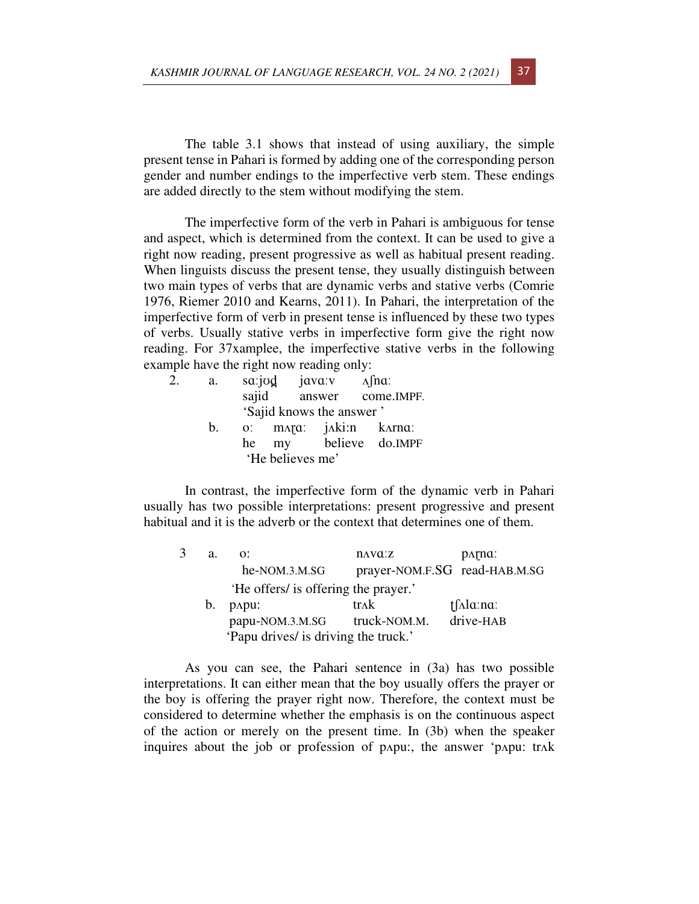The table 3.1 shows that instead of using auxiliary, the simple present tense in Pahari is formed by adding one of the corresponding person gender and number endings to the imperfective verb stem. These endings are added directly to the stem without modifying the stem.

The imperfective form of the verb in Pahari is ambiguous for tense and aspect, which is determined from the context. It can be used to give a right now reading, present progressive as well as habitual present reading. When linguists discuss the present tense, they usually distinguish between two main types of verbs that are dynamic verbs and stative verbs (Comrie 1976, Riemer 2010 and Kearns, 2011). In Pahari, the interpretation of the imperfective form of verb in present tense is influenced by these two types of verbs. Usually stative verbs in imperfective form give the right now reading. For 37xamplee, the imperfective stative verbs in the following example have the right now reading only:

| 2. | a. |    | sa:jvd java:v    |                          | $\Lambda$ fna:          |
|----|----|----|------------------|--------------------------|-------------------------|
|    |    |    |                  |                          | sajid answer come.IMPF. |
|    |    |    |                  | 'Sajid knows the answer' |                         |
|    | b. |    |                  |                          | o: mara: jaki:n karna:  |
|    |    | he |                  |                          | my believe do.IMPF      |
|    |    |    | 'He believes me' |                          |                         |

In contrast, the imperfective form of the dynamic verb in Pahari usually has two possible interpretations: present progressive and present habitual and it is the adverb or the context that determines one of them.

| 3 | a. | $\Omega$ :                           | $\mathbf{n}$ <i>N</i> $\mathbf{a}$ : $\mathbf{z}$ | DATTIQ:                       |
|---|----|--------------------------------------|---------------------------------------------------|-------------------------------|
|   |    | he-NOM.3.M.SG                        |                                                   | prayer-NOM.F.SG read-HAB.M.SG |
|   |    | 'He offers' is offering the prayer.' |                                                   |                               |
|   | b. | DAPU:                                | trak                                              | $\int \Lambda \alpha$ : na:   |
|   |    | papu-NOM.3.M.SG                      | truck-NOM.M.                                      | drive-HAB                     |
|   |    | 'Papu drives/ is driving the truck.' |                                                   |                               |

As you can see, the Pahari sentence in (3a) has two possible interpretations. It can either mean that the boy usually offers the prayer or the boy is offering the prayer right now. Therefore, the context must be considered to determine whether the emphasis is on the continuous aspect of the action or merely on the present time. In (3b) when the speaker inquires about the job or profession of pʌpu:, the answer 'pʌpu: trʌk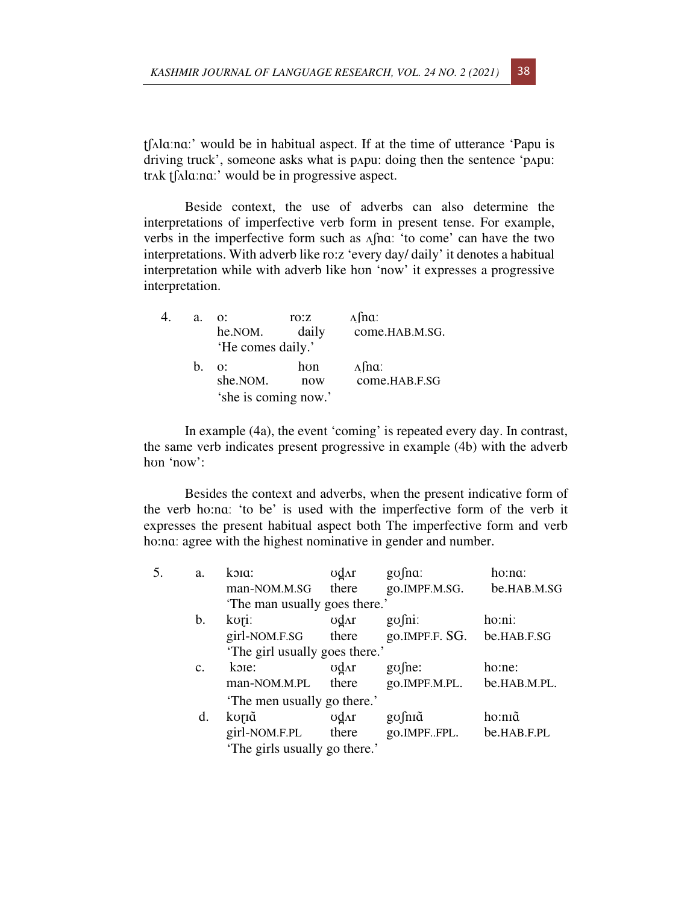ʈʃʌlɑːnɑː' would be in habitual aspect. If at the time of utterance 'Papu is driving truck', someone asks what is pʌpu: doing then the sentence 'pʌpu: trʌk ʈʃʌlɑːnɑː' would be in progressive aspect.

Beside context, the use of adverbs can also determine the interpretations of imperfective verb form in present tense. For example, verbs in the imperfective form such as ʌʃnɑː 'to come' can have the two interpretations. With adverb like ro:z 'every day/ daily' it denotes a habitual interpretation while with adverb like hon 'now' it expresses a progressive interpretation.

| 4. | a. | <u>. O</u><br>he.NOM.<br>'He comes daily.'     | TO:Z<br>daily | $\Lambda$ fna:<br>come.HAB.M.SG. |
|----|----|------------------------------------------------|---------------|----------------------------------|
|    | h. | $\Omega$ :<br>she.NOM.<br>'she is coming now.' | hon<br>now    | $\Lambda$ fna:<br>come.HAB.F.SG  |

In example (4a), the event 'coming' is repeated every day. In contrast, the same verb indicates present progressive in example (4b) with the adverb hʊn 'now':

Besides the context and adverbs, when the present indicative form of the verb ho:nɑː 'to be' is used with the imperfective form of the verb it expresses the present habitual aspect both The imperfective form and verb ho:na: agree with the highest nominative in gender and number.

| 5. | a.             | koia:                         | ∪d∧r  | $g\sigma$ fna: | ho:na:       |
|----|----------------|-------------------------------|-------|----------------|--------------|
|    |                | man-NOM.M.SG                  | there | go.IMPF.M.SG.  | be.HAB.M.SG  |
|    |                | The man usually goes there.'  |       |                |              |
|    | b.             | kori:                         | ∪d∧r  | $g\sigma$ fni: | ho:ni:       |
|    |                | girl-NOM.F.SG                 | there | go.IMPF.F. SG. | be.HAB.F.SG  |
|    |                | The girl usually goes there.  |       |                |              |
|    | $\mathbf{c}$ . | koie:                         | ∪d∧r  | $g\sigma$ fne: | ho:ne:       |
|    |                | man-NOM.M.PL                  | there | go.IMPF.M.PL.  | be.HAB.M.PL. |
|    |                | 'The men usually go there.'   |       |                |              |
|    | d.             | koriã                         | ∪d∧r  | gofniã         | ho:nīã       |
|    |                | girl-NOM.F.PL                 | there | go.IMPFFPL.    | be.HAB.F.PL  |
|    |                | 'The girls usually go there.' |       |                |              |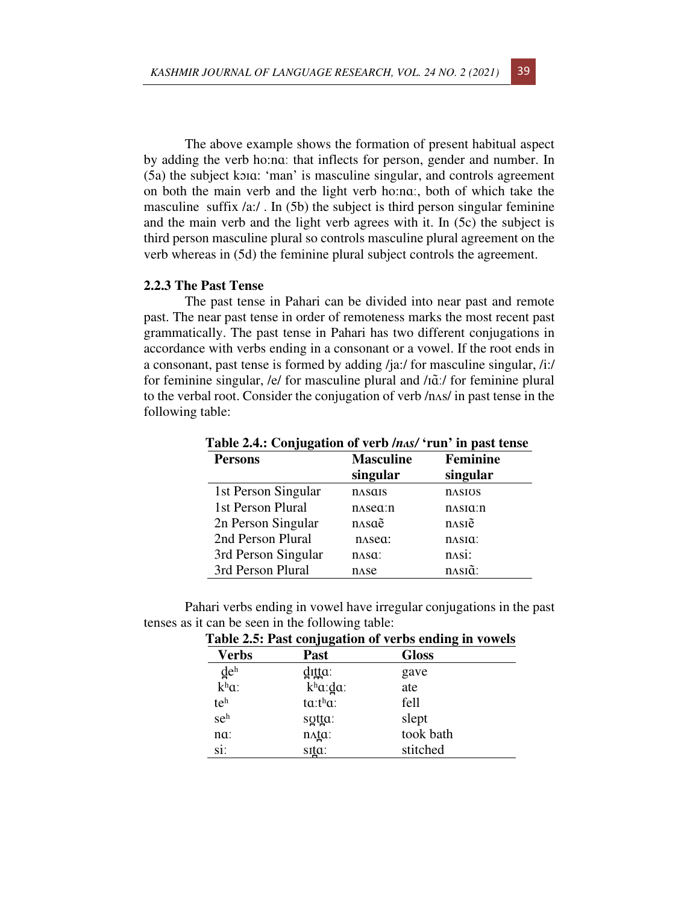The above example shows the formation of present habitual aspect by adding the verb ho:nɑː that inflects for person, gender and number. In (5a) the subject kɔɪɑ: 'man' is masculine singular, and controls agreement on both the main verb and the light verb ho:nɑː, both of which take the masculine suffix /a:/. In (5b) the subject is third person singular feminine and the main verb and the light verb agrees with it. In (5c) the subject is third person masculine plural so controls masculine plural agreement on the verb whereas in (5d) the feminine plural subject controls the agreement.

#### **2.2.3 The Past Tense**

The past tense in Pahari can be divided into near past and remote past. The near past tense in order of remoteness marks the most recent past grammatically. The past tense in Pahari has two different conjugations in accordance with verbs ending in a consonant or a vowel. If the root ends in a consonant, past tense is formed by adding /ja:/ for masculine singular, /i:/ for feminine singular, /e/ for masculine plural and /iã:/ for feminine plural to the verbal root. Consider the conjugation of verb /nʌs/ in past tense in the following table:

|                     | able 2.4.: Conjugation of verb <i>inasi</i> funt in past tense |                 |  |  |  |
|---------------------|----------------------------------------------------------------|-----------------|--|--|--|
| <b>Persons</b>      | <b>Masculine</b>                                               | <b>Feminine</b> |  |  |  |
|                     | singular                                                       | singular        |  |  |  |
| 1st Person Singular | <b>n</b> asais                                                 | <b>nasios</b>   |  |  |  |
| 1st Person Plural   | $n$ sea:n                                                      | $n$ Asia: $n$   |  |  |  |
| 2n Person Singular  | nasaẽ                                                          | nasiẽ           |  |  |  |
| 2nd Person Plural   | n <sub>Asea</sub> :                                            | nasia:          |  |  |  |
| 3rd Person Singular | $n$ Asa:                                                       | nAsi:           |  |  |  |
| 3rd Person Plural   | n <sub>AB</sub>                                                | nasıã:          |  |  |  |
|                     |                                                                |                 |  |  |  |

 **Table 2.4.: Conjugation of verb /***nʌs/* **'run' in past tense** 

Pahari verbs ending in vowel have irregular conjugations in the past tenses as it can be seen in the following table:

|                   | Table 2.5: Past conjugation of verbs ending in vowels |              |  |  |  |
|-------------------|-------------------------------------------------------|--------------|--|--|--|
| Verbs             | Past                                                  | <b>Gloss</b> |  |  |  |
| $de^h$            | d <sub>I</sub> tta:                                   | gave         |  |  |  |
| k <sup>h</sup> a: | $k^h a$ : da:                                         | ate          |  |  |  |
| teh               | $t\alpha$ : $t^{\text{h}}\alpha$ :                    | fell         |  |  |  |
| seh               | sutta:                                                | slept        |  |  |  |
| $na$ :            | $n \Delta \underline{t} \alpha$                       | took bath    |  |  |  |
| si:               | sita:                                                 | stitched     |  |  |  |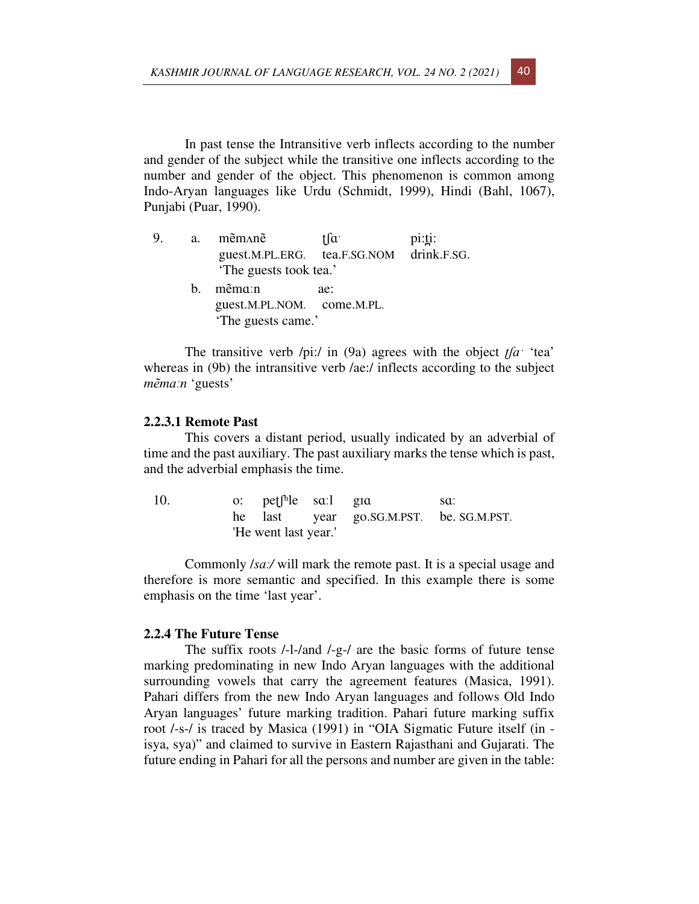In past tense the Intransitive verb inflects according to the number and gender of the subject while the transitive one inflects according to the number and gender of the object. This phenomenon is common among Indo-Aryan languages like Urdu (Schmidt, 1999), Hindi (Bahl, 1067), Punjabi (Puar, 1990).

| 9. | <b>a</b> . | mẽm∧nẽ                                   | tfa <sup>-</sup> | $pi: \underline{ti}$ : |
|----|------------|------------------------------------------|------------------|------------------------|
|    |            | guest.M.PL.ERG. tea.F.SG.NOM drink.F.SG. |                  |                        |
|    |            | 'The guests took tea.'                   |                  |                        |
|    | h.         | mẽma:n                                   | ae:              |                        |
|    |            | guest.M.PL.NOM. come.M.PL.               |                  |                        |
|    |            | 'The guests came.'                       |                  |                        |

The transitive verb /pi:/ in (9a) agrees with the object *ʈʃɑˑ* 'tea' whereas in (9b) the intransitive verb /ae:/ inflects according to the subject *mẽmɑːn* 'guests'

#### **2.2.3.1 Remote Past**

This covers a distant period, usually indicated by an adverbial of time and the past auxiliary. The past auxiliary marks the tense which is past, and the adverbial emphasis the time.

| 10. | o: $\text{pet}^{\text{h}}$ le sa:l gia |                                        | -sa: |
|-----|----------------------------------------|----------------------------------------|------|
|     |                                        | he last year go.SG.M.PST. be SG.M.PST. |      |
|     | 'He went last year.'                   |                                        |      |

Commonly /*sɑː/* will mark the remote past. It is a special usage and therefore is more semantic and specified. In this example there is some emphasis on the time 'last year'.

### **2.2.4 The Future Tense**

The suffix roots /-l-/and /-g-/ are the basic forms of future tense marking predominating in new Indo Aryan languages with the additional surrounding vowels that carry the agreement features (Masica, 1991). Pahari differs from the new Indo Aryan languages and follows Old Indo Aryan languages' future marking tradition. Pahari future marking suffix root /-s-/ is traced by Masica (1991) in "OIA Sigmatic Future itself (in isya, sya)" and claimed to survive in Eastern Rajasthani and Gujarati. The future ending in Pahari for all the persons and number are given in the table: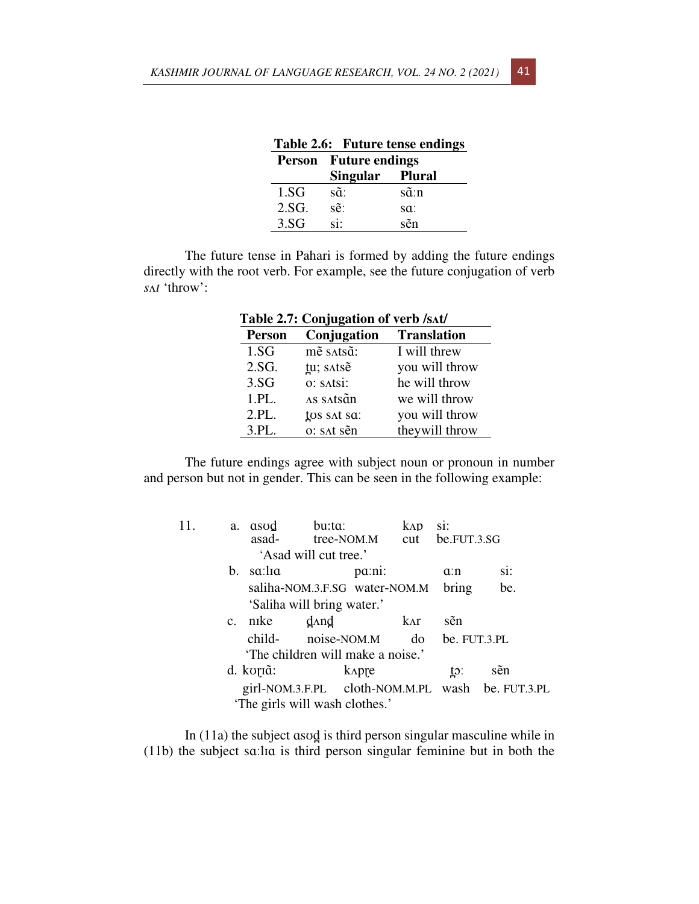|       |                              | Table 2.6: Future tense endings |  |
|-------|------------------------------|---------------------------------|--|
|       | <b>Person</b> Future endings |                                 |  |
|       | Singular Plural              |                                 |  |
| 1.SG  | sã:                          | sã:n                            |  |
| 2.SG. | sẽ:                          | sa:                             |  |
| 3.SG  | si:                          | sẽn                             |  |

The future tense in Pahari is formed by adding the future endings directly with the root verb. For example, see the future conjugation of verb *s*ʌ*t* 'throw':

| Table 2.7: Conjugation of verb /sʌt/ |             |                    |  |  |
|--------------------------------------|-------------|--------------------|--|--|
| <b>Person</b>                        | Conjugation | <b>Translation</b> |  |  |
| 1.SG                                 | mē satsā:   | I will threw       |  |  |
| 2.SG.                                | tu; satse   | you will throw     |  |  |
| 3.SG                                 | o: satsi:   | he will throw      |  |  |
| 1.PL.                                | AS SAtsãn   | we will throw      |  |  |
| 2.PL.                                | tos sat sa: | you will throw     |  |  |
| 3.PL.                                | o: sat sẽn  | they will throw    |  |  |

The future endings agree with subject noun or pronoun in number and person but not in gender. This can be seen in the following example:

| 11. | a.          | asod<br>asad- | bu:ta:                            | tree-NOM.M cut be.FUT.3.SG | $k\Lambda p$ | si:               |                                                  |
|-----|-------------|---------------|-----------------------------------|----------------------------|--------------|-------------------|--------------------------------------------------|
|     |             |               | 'Asad will cut tree.'             |                            |              |                   |                                                  |
|     | b.          | sa:lia        |                                   | pa:ni:                     |              | a:n               | si:                                              |
|     |             |               | saliha-NOM.3.F.SG water-NOM.M     |                            |              | bring             | be.                                              |
|     |             |               | 'Saliha will bring water.'        |                            |              |                   |                                                  |
|     | $C_{\star}$ | nike          | $d$ And                           |                            | kAr          | sẽn               |                                                  |
|     |             | child-        | noise-NOM.M                       |                            |              | $do$ be. FUT.3.PL |                                                  |
|     |             |               | 'The children will make a noise.' |                            |              |                   |                                                  |
|     |             | d. koriã:     |                                   | <b>k</b> Apre              |              | to:               | sẽn                                              |
|     |             |               |                                   |                            |              |                   | girl-NOM.3.F.PL cloth-NOM.M.PL wash be. FUT.3.PL |
|     |             |               | 'The girls will wash clothes.'    |                            |              |                   |                                                  |

In (11a) the subject ɑsʊd̪ is third person singular masculine while in (11b) the subject sɑːlɪɑ is third person singular feminine but in both the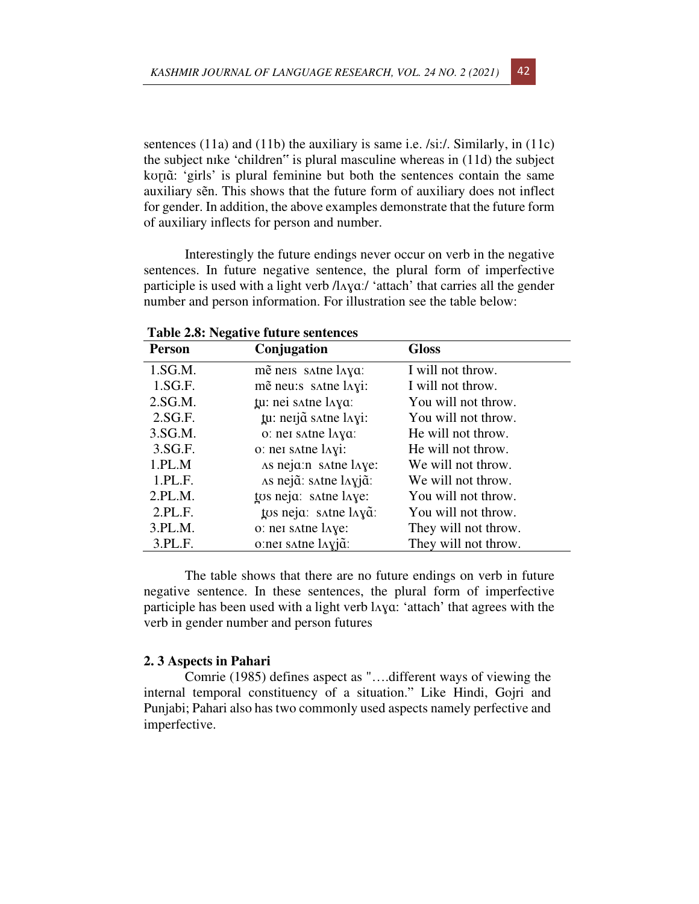sentences (11a) and (11b) the auxiliary is same i.e. /si:/. Similarly, in (11c) the subject nɪke 'children" is plural masculine whereas in (11d) the subject kʊɽɪɑ̃ : 'girls' is plural feminine but both the sentences contain the same auxiliary sẽn. This shows that the future form of auxiliary does not inflect for gender. In addition, the above examples demonstrate that the future form of auxiliary inflects for person and number.

Interestingly the future endings never occur on verb in the negative sentences. In future negative sentence, the plural form of imperfective participle is used with a light verb /l $\Delta$ yaː/ 'attach' that carries all the gender number and person information. For illustration see the table below:

| Tuble 2000 Inequal to future betweeneed |                       |                      |  |  |  |
|-----------------------------------------|-----------------------|----------------------|--|--|--|
| <b>Person</b>                           | Conjugation           | <b>Gloss</b>         |  |  |  |
| 1.SG.M.                                 | mẽ neis satne laya:   | I will not throw.    |  |  |  |
| 1.SG.F.                                 | mẽ neu: s satne layi: | I will not throw.    |  |  |  |
| 2.SG.M.                                 | tu: nei satne laya:   | You will not throw.  |  |  |  |
| 2.SG.F.                                 | tu: neijã satne layi: | You will not throw.  |  |  |  |
| 3.SG.M.                                 | o: nei satne laya:    | He will not throw.   |  |  |  |
| 3.SG.F.                                 | o: nei satne layi:    | He will not throw.   |  |  |  |
| 1.PL.M                                  | As neja:n satne laye: | We will not throw.   |  |  |  |
| 1.PL.F.                                 | As nejã: satne layjã: | We will not throw.   |  |  |  |
| 2.PL.M.                                 | tos neja: satne laye: | You will not throw.  |  |  |  |
| 2.PL.F.                                 | tos neja: satne layã: | You will not throw.  |  |  |  |
| 3.PL.M.                                 | o: nei satne laye:    | They will not throw. |  |  |  |
| 3.PL.F.                                 | o:nei satne layjã:    | They will not throw. |  |  |  |

 **Table 2.8: Negative future sentences** 

The table shows that there are no future endings on verb in future negative sentence. In these sentences, the plural form of imperfective participle has been used with a light verb lʌɣɑ: 'attach' that agrees with the verb in gender number and person futures

### **2. 3 Aspects in Pahari**

Comrie (1985) defines aspect as "….different ways of viewing the internal temporal constituency of a situation." Like Hindi, Gojri and Punjabi; Pahari also has two commonly used aspects namely perfective and imperfective.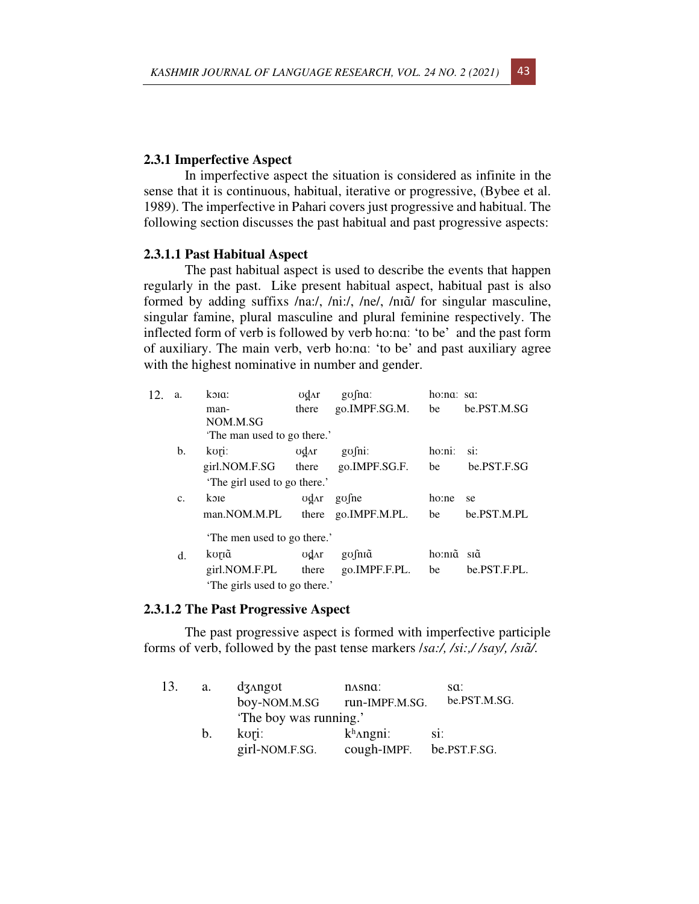## **2.3.1 Imperfective Aspect**

In imperfective aspect the situation is considered as infinite in the sense that it is continuous, habitual, iterative or progressive, (Bybee et al. 1989). The imperfective in Pahari covers just progressive and habitual. The following section discusses the past habitual and past progressive aspects:

### **2.3.1.1 Past Habitual Aspect**

The past habitual aspect is used to describe the events that happen regularly in the past. Like present habitual aspect, habitual past is also formed by adding suffixs /na:/, /ni:/, /ne/, /nɪɑ̃/ for singular masculine, singular famine, plural masculine and plural feminine respectively. The inflected form of verb is followed by verb ho:nɑː 'to be' and the past form of auxiliary. The main verb, verb ho:nɑː 'to be' and past auxiliary agree with the highest nominative in number and gender.

| 12. | a.             | koia:                         | ∪d∧r  | $g\sigma$ fna:                                  | ho:na: sa:  |              |
|-----|----------------|-------------------------------|-------|-------------------------------------------------|-------------|--------------|
|     |                | man-                          | there | go.IMPF.SG.M.                                   | be          | be.PST.M.SG  |
|     |                | NOM.M.SG                      |       |                                                 |             |              |
|     |                | The man used to go there.'    |       |                                                 |             |              |
|     | b.             | kori:                         | ∪d∧r  | $g\sigma$ fni:                                  | ho:ni:      | si:          |
|     |                | girl.NOM.F.SG there           |       | go.IMPF.SG.F.                                   | be          | be.PST.F.SG  |
|     |                | 'The girl used to go there.'  |       |                                                 |             |              |
|     | C <sub>1</sub> | koje                          |       | $\sigma$ <sub>d</sub> <sub>Ar</sub> go $\sigma$ | ho:ne       | se           |
|     |                | man.NOM.M.PL                  | there | go.IMPF.M.PL.                                   | be          | be.PST.M.PL  |
|     |                | The men used to go there.'    |       |                                                 |             |              |
|     | d.             | koriã                         | odar  | gofniã                                          | ho:nīɑ̃sīɑ̃ |              |
|     |                | girl.NOM.F.PL                 | there | go.IMPF.F.PL.                                   | be          | be.PST.F.PL. |
|     |                | 'The girls used to go there.' |       |                                                 |             |              |

### **2.3.1.2 The Past Progressive Aspect**

The past progressive aspect is formed with imperfective participle forms of verb, followed by the past tense markers /*sa:/, /si:,/ /say/, /sɪɑ̃ /.* 

| 13. | a.          | $d$ 3 $\lambda$ ngot        | n <sub>AS</sub> na | sa:          |  |  |  |
|-----|-------------|-----------------------------|--------------------|--------------|--|--|--|
|     |             | boy-NOM.M.SG run-IMPF.M.SG. |                    | be.PST.M.SG. |  |  |  |
|     |             | 'The boy was running.'      |                    |              |  |  |  |
|     | $b_{\cdot}$ | kori:                       | $k^h$ Angni:       | Sİ.          |  |  |  |
|     |             | girl-NOM.F.SG.              | cough-IMPF.        | be.PST.F.SG. |  |  |  |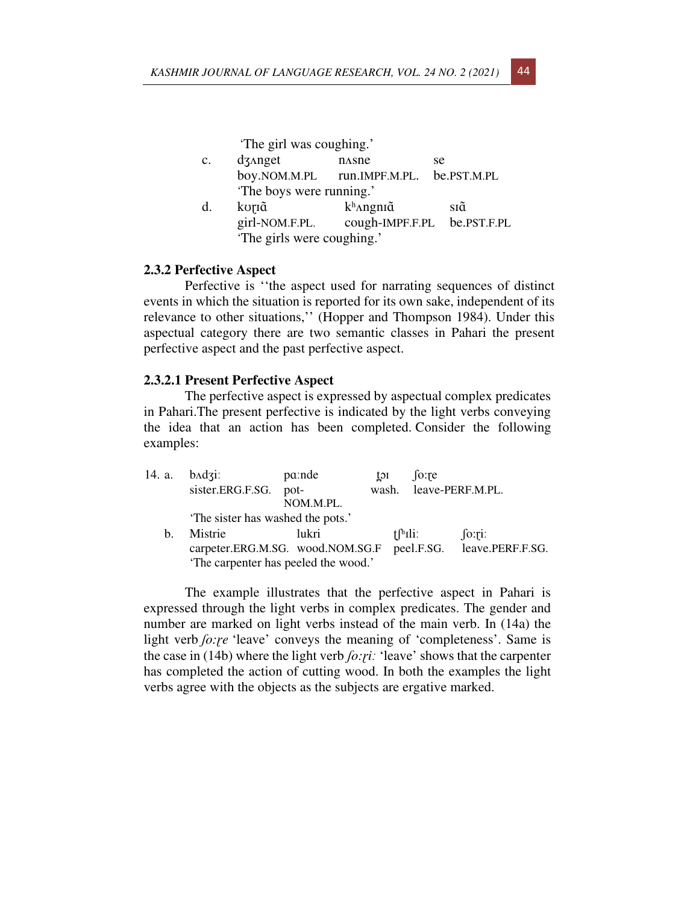'The girl was coughing.'

- c. dz<sub>Anget</sub> nasne se boy.NOM.M.PL run.IMPF.M.PL. be.PST.M.PL 'The boys were running.'
- d. korīg k<sup>h</sup>angnīg sīg girl-NOM.F.PL. cough-IMPF.F.PL be.PST.F.PL 'The girls were coughing.'

### **2.3.2 Perfective Aspect**

Perfective is ''the aspect used for narrating sequences of distinct events in which the situation is reported for its own sake, independent of its relevance to other situations,'' (Hopper and Thompson 1984). Under this aspectual category there are two semantic classes in Pahari the present perfective aspect and the past perfective aspect.

#### **2.3.2.1 Present Perfective Aspect**

The perfective aspect is expressed by aspectual complex predicates in Pahari.The present perfective is indicated by the light verbs conveying the idea that an action has been completed. Consider the following examples:

| 14. a. | $badzi$ :                        | pa:nde                               | toi | $\int$ fo: re                    |                             |
|--------|----------------------------------|--------------------------------------|-----|----------------------------------|-----------------------------|
|        | sister.ERG.F.SG.                 | pot-                                 |     |                                  | wash. leave-PERF.M.PL.      |
|        |                                  | NOM.M.PL.                            |     |                                  |                             |
|        | The sister has washed the pots.' |                                      |     |                                  |                             |
| h.     | Mistrie                          | lukri                                |     | $\mathrm{f}$ <sup>[h</sup> Ili]. | [0:1]                       |
|        |                                  | carpeter.ERG.M.SG. wood.NOM.SG.F     |     |                                  | peel.F.SG. leave.PERF.F.SG. |
|        |                                  | 'The carpenter has peeled the wood.' |     |                                  |                             |

The example illustrates that the perfective aspect in Pahari is expressed through the light verbs in complex predicates. The gender and number are marked on light verbs instead of the main verb. In (14a) the light verb *fo:re* 'leave' conveys the meaning of 'completeness'. Same is the case in (14b) where the light verb *ʃo:ɽiː* 'leave' shows that the carpenter has completed the action of cutting wood. In both the examples the light verbs agree with the objects as the subjects are ergative marked.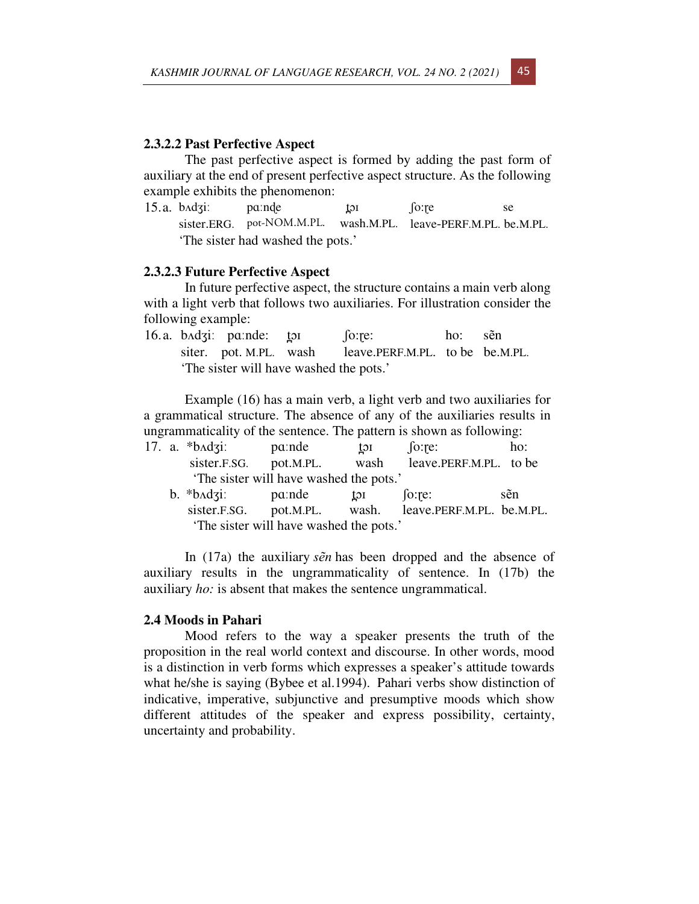## **2.3.2.2 Past Perfective Aspect**

The past perfective aspect is formed by adding the past form of auxiliary at the end of present perfective aspect structure. As the following example exhibits the phenomenon:

15.a. b^dʒi: paːnde tor fo:re se sister.ERG. pot-NOM.M.PL. wash.M.PL. leave-PERF.M.PL. be.M.PL. 'The sister had washed the pots.'

## **2.3.2.3 Future Perfective Aspect**

In future perfective aspect, the structure contains a main verb along with a light verb that follows two auxiliaries. For illustration consider the following example:

|  | 16.a. $b \triangleleft g$ : $p \triangleleft g$ : $p \triangleleft g$ : $p \triangleleft g$ : $p \triangleleft g$ : $p \triangleleft g$ : $p \triangleleft g$ : $p \triangleleft g$ : $p \triangleleft g$ : $p \triangleleft g$ : $p \triangleleft g$ : $p \triangleleft g$ : $p \triangleleft g$ : $p \triangleleft g$ : $p \triangleleft g$ : $p \triangleleft g$ : $p \triangleleft g$ : $p \triangleleft g$ : $p \triangleleft g$ : $p \triangleleft g$ : $p \triangleleft g$ : $p \triangleleft g$ : $p \triangleleft g$ : $p \triangleleft g$ : |                                                        | ho: sẽn |  |
|--|-------------------------------------------------------------------------------------------------------------------------------------------------------------------------------------------------------------------------------------------------------------------------------------------------------------------------------------------------------------------------------------------------------------------------------------------------------------------------------------------------------------------------------------------------------|--------------------------------------------------------|---------|--|
|  |                                                                                                                                                                                                                                                                                                                                                                                                                                                                                                                                                       | siter. pot. M.PL. wash leave.PERF.M.PL. to be be.M.PL. |         |  |
|  | 'The sister will have washed the pots.'                                                                                                                                                                                                                                                                                                                                                                                                                                                                                                               |                                                        |         |  |

Example (16) has a main verb, a light verb and two auxiliaries for a grammatical structure. The absence of any of the auxiliaries results in ungrammaticality of the sentence. The pattern is shown as following:

|  | 17. a. $\ast$ b $\Delta$ dzi: | pa:nde                                 | toi          | [o:re:                 | ho:           |
|--|-------------------------------|----------------------------------------|--------------|------------------------|---------------|
|  | sister.F.SG. pot.M.PL.        |                                        | wash         | leave.PERF.M.PL. to be |               |
|  |                               | The sister will have washed the pots.' |              |                        |               |
|  | $h * h \cdot d \pi r$ nande   |                                        | $t \wedge t$ | $i_{\alpha}$           | $c\tilde{a}n$ |

b. \*b^dʒiː paːnde t̪ɔɪ ʃoːr̪e: sẽn sister.F.SG. pot.M.PL. wash. leave.PERF.M.PL. be.M.PL. 'The sister will have washed the pots.'

In (17a) the auxiliary *sẽn* has been dropped and the absence of auxiliary results in the ungrammaticality of sentence. In (17b) the auxiliary *ho:* is absent that makes the sentence ungrammatical.

## **2.4 Moods in Pahari**

Mood refers to the way a speaker presents the truth of the proposition in the real world context and discourse. In other words, mood is a distinction in verb forms which expresses a speaker's attitude towards what he/she is saying (Bybee et al.1994). Pahari verbs show distinction of indicative, imperative, subjunctive and presumptive moods which show different attitudes of the speaker and express possibility, certainty, uncertainty and probability.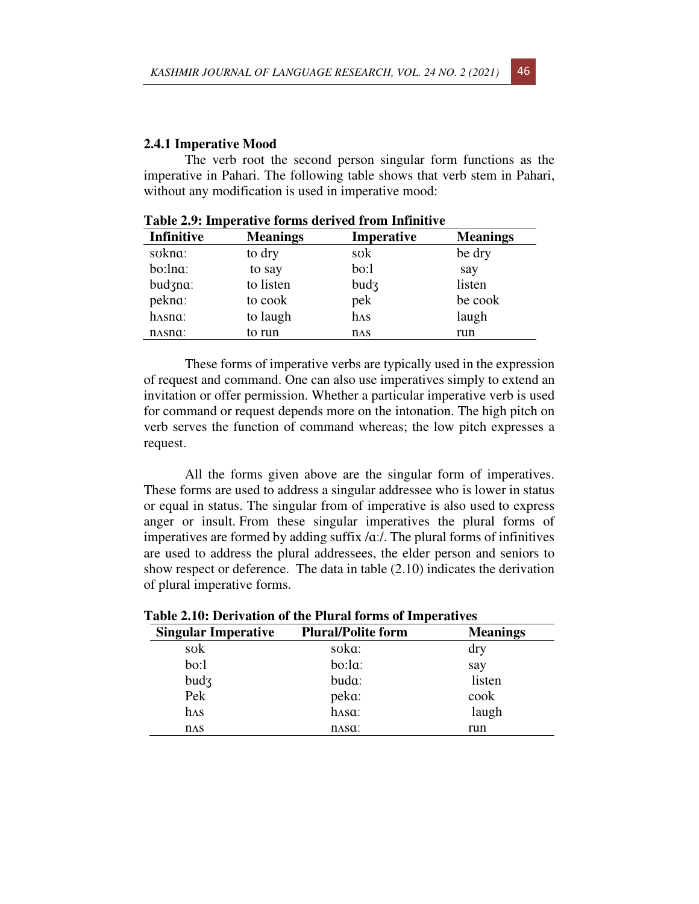## **2.4.1 Imperative Mood**

The verb root the second person singular form functions as the imperative in Pahari. The following table shows that verb stem in Pahari, without any modification is used in imperative mood:

| <b>Infinitive</b>              | <b>Meanings</b> | Imperative   | <b>Meanings</b> |
|--------------------------------|-----------------|--------------|-----------------|
| sokna:                         | to dry          | sok          | be dry          |
| bo:lna:                        | to say          | bo:1         | say             |
| budzna:                        | to listen       | bud3         | listen          |
| pekna:                         | to cook         | pek          | be cook         |
| hasna:                         | to laugh        | $h\Lambda s$ | laugh           |
| n <sub>AS</sub> n <sub>a</sub> | to run          | $n\Delta S$  | run             |

**Table 2.9: Imperative forms derived from Infinitive**

 These forms of imperative verbs are typically used in the expression of request and command. One can also use imperatives simply to extend an invitation or offer permission. Whether a particular imperative verb is used for command or request depends more on the intonation. The high pitch on verb serves the function of command whereas; the low pitch expresses a request.

All the forms given above are the singular form of imperatives. These forms are used to address a singular addressee who is lower in status or equal in status. The singular from of imperative is also used to express anger or insult. From these singular imperatives the plural forms of imperatives are formed by adding suffix /ɑː/. The plural forms of infinitives are used to address the plural addressees, the elder person and seniors to show respect or deference. The data in table (2.10) indicates the derivation of plural imperative forms.

| I avit 4.10. Delivation of the 1 ith at forms of hilperatives |                           |                 |  |  |  |
|---------------------------------------------------------------|---------------------------|-----------------|--|--|--|
| <b>Singular Imperative</b>                                    | <b>Plural/Polite form</b> | <b>Meanings</b> |  |  |  |
| sok                                                           | soka:                     | dry             |  |  |  |
| bo:1                                                          | bo:la:                    | say             |  |  |  |
| bud3                                                          | buda:                     | listen          |  |  |  |
| Pek                                                           | peka:                     | cook            |  |  |  |
| $h\Lambda s$                                                  | hasa:                     | laugh           |  |  |  |
| $n\Delta S$                                                   | $\Lambda$ sa:             | run             |  |  |  |

**Table 2.10: Derivation of the Plural forms of Imperatives**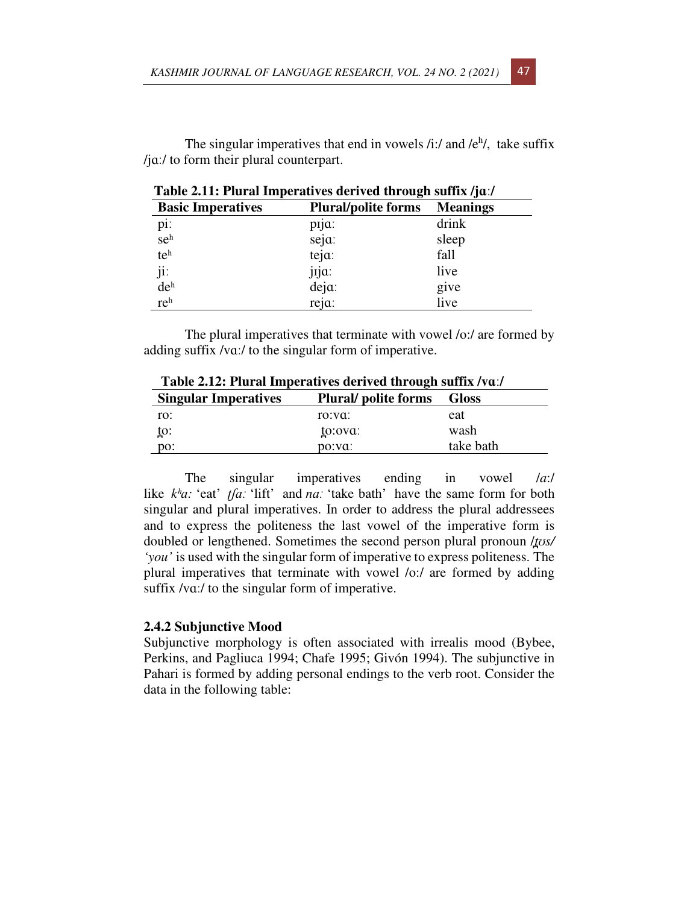The singular imperatives that end in vowels  $/i$ :/ and  $/e<sup>h</sup>$ , take suffix /jɑː/ to form their plural counterpart.

| Table 2.11. I fural linperatives derived through suffix / ju./ |                            |                 |  |
|----------------------------------------------------------------|----------------------------|-----------------|--|
| <b>Basic Imperatives</b>                                       | <b>Plural/polite forms</b> | <b>Meanings</b> |  |
| pi:                                                            | pija:                      | drink           |  |
| seh                                                            | seja:                      | sleep           |  |
| teh                                                            | teja:                      | fall            |  |
| ji:                                                            | jija:                      | live            |  |
| de <sup>h</sup>                                                | $deja$ :                   | give            |  |
| reh                                                            | reja:                      | live            |  |

 **Table 2.11: Plural Imperatives derived through suffix /jɑː/** 

The plural imperatives that terminate with vowel /o:/ are formed by adding suffix /vɑː/ to the singular form of imperative.

| Table 2.12. I fural imperatives derived through suffix / vd./ |                            |              |  |
|---------------------------------------------------------------|----------------------------|--------------|--|
| <b>Singular Imperatives</b>                                   | <b>Plural/polite forms</b> | <b>Gloss</b> |  |
| ro:                                                           | ro:va:                     | eat          |  |
| to:                                                           | to:ova:                    | wash         |  |
| DO:                                                           | po:va:                     | take bath    |  |

 **Table 2.12: Plural Imperatives derived through suffix /vɑː/** 

The singular imperatives ending in vowel /*a*:/ like *kʰɑ:* 'eat' *ʈʃɑː* 'lift' and *nɑː* 'take bath' have the same form for both singular and plural imperatives. In order to address the plural addressees and to express the politeness the last vowel of the imperative form is doubled or lengthened. Sometimes the second person plural pronoun /*t̪ʊs/ 'you'* is used with the singular form of imperative to express politeness. The plural imperatives that terminate with vowel /o:/ are formed by adding suffix /vaː/ to the singular form of imperative.

# **2.4.2 Subjunctive Mood**

Subjunctive morphology is often associated with irrealis mood (Bybee, Perkins, and Pagliuca 1994; Chafe 1995; Givón 1994). The subjunctive in Pahari is formed by adding personal endings to the verb root. Consider the data in the following table: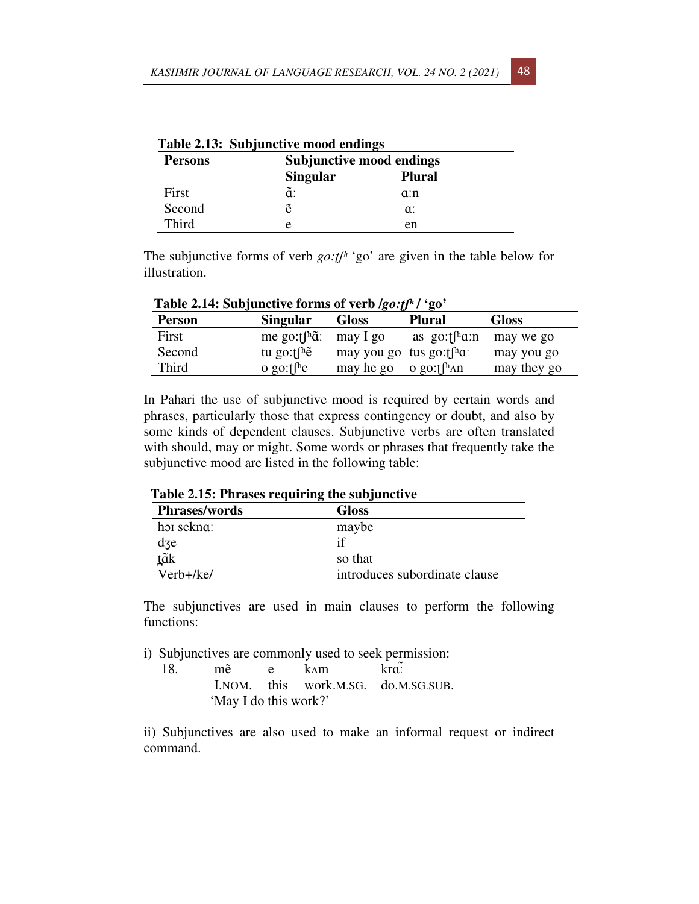| Table 2.15: Subjunctive mood endings |                 |                                 |  |  |
|--------------------------------------|-----------------|---------------------------------|--|--|
| <b>Persons</b>                       |                 | <b>Subjunctive mood endings</b> |  |  |
|                                      | <b>Singular</b> | <b>Plural</b>                   |  |  |
| First                                | ã:              | a:n                             |  |  |
| Second                               | ẽ               | $\alpha$ :                      |  |  |
| Third                                | е               | en                              |  |  |

|  | Table 2.13: Subjunctive mood endings |  |
|--|--------------------------------------|--|
|--|--------------------------------------|--|

The subjunctive forms of verb *go:t*<sup>*h*</sup> 'go' are given in the table below for illustration.

| Table 2.1-1. Dubjunctive forms of verbasely a $\epsilon_0$ |                                  |                                                                         |                                    |              |
|------------------------------------------------------------|----------------------------------|-------------------------------------------------------------------------|------------------------------------|--------------|
| <b>Person</b>                                              | <b>Singular</b>                  | <b>Gloss</b>                                                            | <b>Plural</b>                      | <b>Gloss</b> |
| First                                                      | me go: $f^h\tilde{a}$ : may I go |                                                                         | as go: $\int^{\text{h}} a \cdot n$ | may we go    |
| Second                                                     | tu go: $\int h \tilde{e}$        | may you go tus go: $\int_{a}^{b}$ may you go tus go: $\int_{a}^{b}$ may |                                    | may you go   |
| <b>Third</b>                                               | o go: $\int^{\text{h}} e$        | may he go                                                               | o go: $t$ [ <sup>h</sup> $\land$ n | may they go  |

 **Table 2.14: Subjunctive forms of verb /***go:ʈʃʰ* **/ 'go'** 

In Pahari the use of subjunctive mood is required by certain words and phrases, particularly those that express contingency or doubt, and also by some kinds of dependent clauses. Subjunctive verbs are often translated with should, may or might. Some words or phrases that frequently take the subjunctive mood are listed in the following table:

 **Table 2.15: Phrases requiring the subjunctive** 

| <b>Phrases/words</b> | <b>Gloss</b>                  |
|----------------------|-------------------------------|
| hoi sekna:           | maybe                         |
| dze                  |                               |
| <u>t</u> ãk          | so that                       |
| Verb+/ke/            | introduces subordinate clause |

The subjunctives are used in main clauses to perform the following functions:

i) Subjunctives are commonly used to seek permission:

18. mẽ e kʌm krãː I.NOM. this work.M.SG. do.M.SG.SUB. 'May I do this work?'

ii) Subjunctives are also used to make an informal request or indirect command.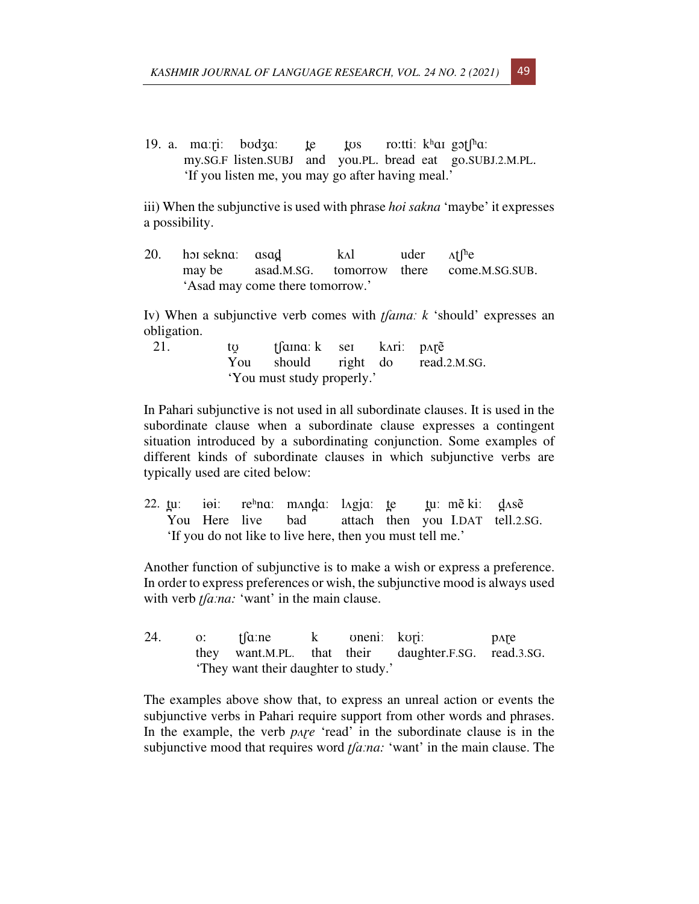19. a. ma: $\pi$ i: bodza: te tos ro:tti: khai got $\int_a^b$ a: my.SG.F listen.SUBJ and you.PL. bread eat go.SUBJ.2.M.PL. 'If you listen me, you may go after having meal.'

iii) When the subjunctive is used with phrase *hoi sakna* 'maybe' it expresses a possibility.

20. horisekna: asad k.d uder  $\Lambda f^{h}e$ may be asad.M.SG. tomorrow there come.M.SG.SUB. 'Asad may come there tomorrow.'

Iv) When a subjunctive verb comes with *ʈʃɑɪnɑː k* 'should' expresses an obligation.

21. tʊ̯ ʈʃɑɪnɑː k seɪ kʌriː pʌɽẽ You should right do read.2.M.SG. 'You must study properly.'

In Pahari subjunctive is not used in all subordinate clauses. It is used in the subordinate clause when a subordinate clause expresses a contingent situation introduced by a subordinating conjunction. Some examples of different kinds of subordinate clauses in which subjunctive verbs are typically used are cited below:

22.  $\mu$ i i $\theta$ i: rehna: m $\Delta$ nda: l $\Delta$ gja:  $\mu$  tu: m $\tilde{e}$  ki: d $\Delta$ sẽ You Here live bad attach then you I.DAT tell.2.SG. 'If you do not like to live here, then you must tell me.'

Another function of subjunctive is to make a wish or express a preference. In order to express preferences or wish, the subjunctive mood is always used with verb *t*[a*:na:* 'want' in the main clause.

24. o: ʈʃɑːne k ʊneniː kʊɽiː pʌɽe they want.M.PL. that their daughter.F.SG. read.3.SG. 'They want their daughter to study.'

The examples above show that, to express an unreal action or events the subjunctive verbs in Pahari require support from other words and phrases. In the example, the verb *pare* 'read' in the subordinate clause is in the subjunctive mood that requires word *ʈʃɑːna:* 'want' in the main clause. The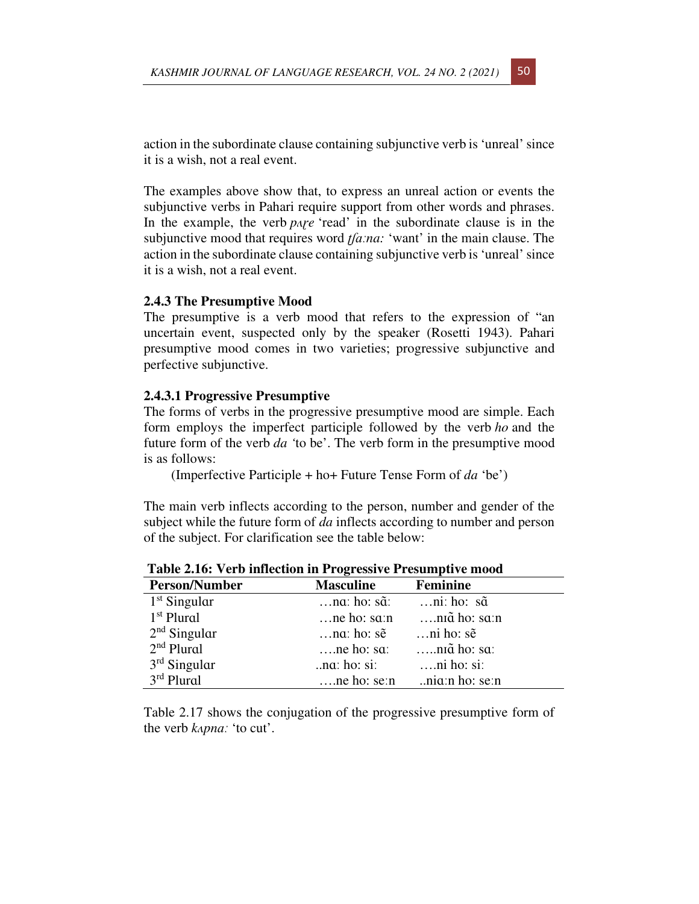action in the subordinate clause containing subjunctive verb is 'unreal' since it is a wish, not a real event.

The examples above show that, to express an unreal action or events the subjunctive verbs in Pahari require support from other words and phrases. In the example, the verb *pare* 'read' in the subordinate clause is in the subjunctive mood that requires word *ʈʃɑːna:* 'want' in the main clause. The action in the subordinate clause containing subjunctive verb is 'unreal' since it is a wish, not a real event.

#### **2.4.3 The Presumptive Mood**

The presumptive is a verb mood that refers to the expression of "an uncertain event, suspected only by the speaker (Rosetti 1943). Pahari presumptive mood comes in two varieties; progressive subjunctive and perfective subjunctive.

### **2.4.3.1 Progressive Presumptive**

The forms of verbs in the progressive presumptive mood are simple. Each form employs the imperfect participle followed by the verb *ho* and the future form of the verb *da '*to be'. The verb form in the presumptive mood is as follows:

(Imperfective Participle + ho+ Future Tense Form of *da* 'be')

The main verb inflects according to the person, number and gender of the subject while the future form of *da* inflects according to number and person of the subject. For clarification see the table below:

| <b>Masculine</b>     | Feminine                                     |  |  |
|----------------------|----------------------------------------------|--|--|
| $\dots$ na: ho: sã:  | $\dots$ ni: ho: s $\tilde{a}$                |  |  |
| $$ ne ho: s $a$ : n  | niã ho: saːn                                 |  |  |
| $\dots$ na: ho: sẽ   | $\dots$ ni ho: sẽ                            |  |  |
| $\ldots$ ne ho: sa:  | niã ho: sa:                                  |  |  |
| $\ldots$ na: ho: si: | $\dots$ ni ho: si:                           |  |  |
|                      | ne ho: $\sec n$ ni $\alpha$ : n ho: $\sec n$ |  |  |
|                      |                                              |  |  |

 **Table 2.16: Verb inflection in Progressive Presumptive mood** 

Table 2.17 shows the conjugation of the progressive presumptive form of the verb *kʌpnɑː* 'to cut'.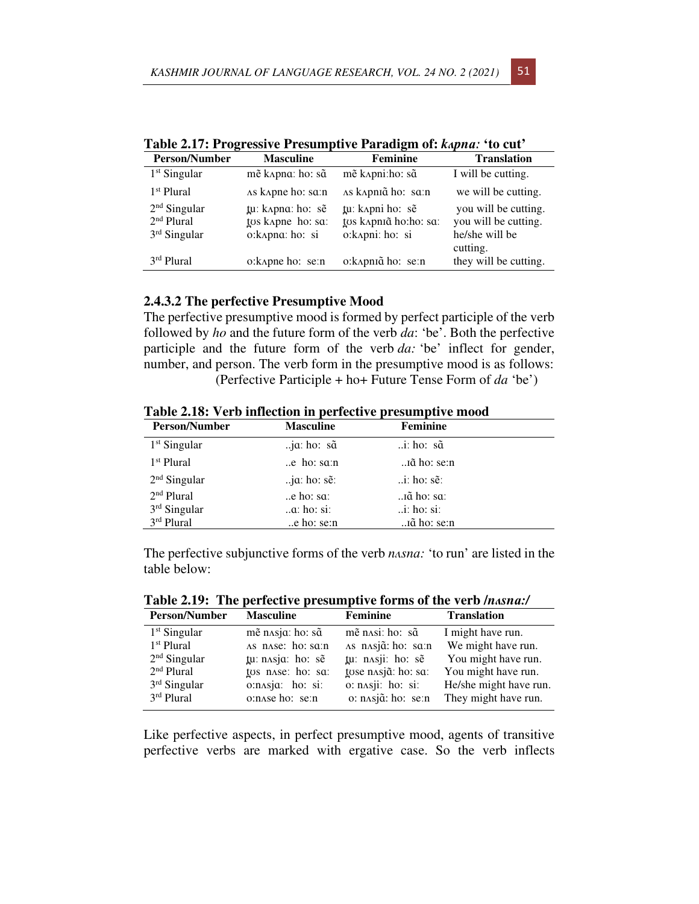| <b>Person/Number</b>                                       | <b>Masculine</b>                                           | <b>Feminine</b>                                               | <b>Translation</b>                                                         |
|------------------------------------------------------------|------------------------------------------------------------|---------------------------------------------------------------|----------------------------------------------------------------------------|
| $1st$ Singular                                             | mẽ kapna: ho: sã                                           | mẽ kapni:ho: sã                                               | I will be cutting.                                                         |
| 1 <sup>st</sup> Plural                                     | As kapne ho: sa:n                                          | AS kapniã ho: sa:n                                            | we will be cutting.                                                        |
| $2nd$ Singular<br>2 <sup>nd</sup> Plural<br>$3rd$ Singular | tu: kapna: ho: sẽ<br>tos kapne ho: sa:<br>o: kApna: ho: si | tu: kapni ho: sẽ<br>tos kapniã ho:ho: sa:<br>o: kapni: ho: si | you will be cutting.<br>you will be cutting.<br>he/she will be<br>cutting. |
| 3rd Plural                                                 | o: kapne ho: se: n                                         | o: kapniã ho: se: n                                           | they will be cutting.                                                      |

**Table 2.17: Progressive Presumptive Paradigm of:** *kʌpnɑː* **'to cut'** 

## **2.4.3.2 The perfective Presumptive Mood**

The perfective presumptive mood is formed by perfect participle of the verb followed by *ho* and the future form of the verb *da*: 'be'. Both the perfective participle and the future form of the verb *da:* 'be' inflect for gender, number, and person. The verb form in the presumptive mood is as follows: (Perfective Participle + ho+ Future Tense Form of *da* 'be')

| Table 2.18: Verb inflection in perfective presumptive mood |  |  |
|------------------------------------------------------------|--|--|
|------------------------------------------------------------|--|--|

| <b>Person/Number</b>                                   | <b>Masculine</b>                                       | <b>Feminine</b>                                      |  |
|--------------------------------------------------------|--------------------------------------------------------|------------------------------------------------------|--|
| $1st$ Singular                                         | $j\alpha$ : ho: s $\tilde{\alpha}$                     | $\therefore$ i: ho: s $\tilde{a}$                    |  |
| $1st$ Plural                                           | $\mathbf{a}$ .e ho: sa:n                               | iã ho: se:n                                          |  |
| $2nd$ Singular                                         | $j\alpha$ : ho: s $\tilde{e}$ :                        | $\therefore$ i: ho: se:                              |  |
| 2 <sup>nd</sup> Plural<br>$3rd$ Singular<br>3rd Plural | $\alpha$ e ho: sa:<br>$\alpha$ : ho: si:<br>e ho: se:n | iã ho: sa:<br>$\therefore$ i: ho: si:<br>iã ho: se:n |  |

The perfective subjunctive forms of the verb *nʌsnɑ:* 'to run' are listed in the table below:

**Table 2.19: The perfective presumptive forms of the verb /***nʌsnɑ:/*

| <b>Person/Number</b>                     | <b>Masculine</b>                      | <b>Feminine</b>                          | <b>Translation</b>                            |
|------------------------------------------|---------------------------------------|------------------------------------------|-----------------------------------------------|
| $1st$ Singular<br>1 <sup>st</sup> Plural | mẽ nasja: ho: sã<br>AS nAse: ho: sa:n | mẽ nasi: ho: sã<br>AS nAsjã: ho: sa:n    | I might have run.<br>We might have run.       |
| $2nd$ Singular                           | tu: nasja: ho: sẽ                     | tu: nasji: ho: sẽ                        | You might have run.                           |
| 2 <sup>nd</sup> Plural<br>$3rd$ Singular | tos nase: ho: sa:<br>o:nasja: ho: si: | tose nasjã: ho: sa:<br>o: nasji: ho: si: | You might have run.<br>He/she might have run. |
| 3rd Plural                               | o:nase ho: se:n                       | o: nasjã: ho: se:n                       | They might have run.                          |

Like perfective aspects, in perfect presumptive mood, agents of transitive perfective verbs are marked with ergative case. So the verb inflects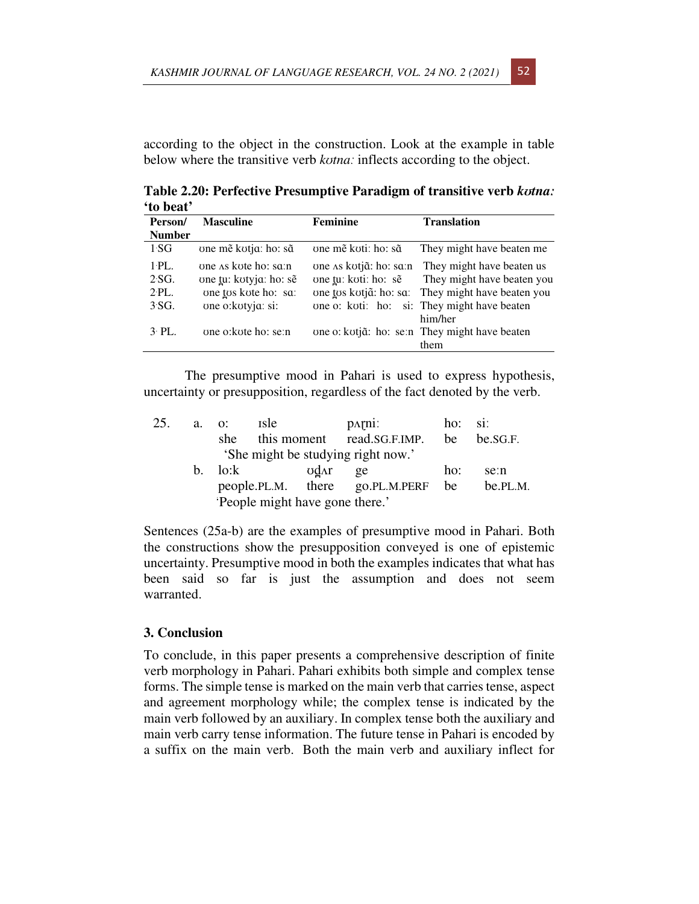according to the object in the construction. Look at the example in table below where the transitive verb *kʊtnaː* inflects according to the object.

**Table 2.20: Perfective Presumptive Paradigm of transitive verb** *kʊtnaː* **'to beat'** 

| Person/                                 | <b>Masculine</b>                                                                             | <b>Feminine</b>                                                          | <b>Translation</b>                                                                                                                              |
|-----------------------------------------|----------------------------------------------------------------------------------------------|--------------------------------------------------------------------------|-------------------------------------------------------------------------------------------------------------------------------------------------|
| <b>Number</b>                           |                                                                                              |                                                                          |                                                                                                                                                 |
| 1S <sub>G</sub>                         | one mě kotja: ho: sã                                                                         | one mě koti: ho: sã                                                      | They might have beaten me                                                                                                                       |
| $1$ PL.<br>$2-SG.$<br>$2$ ·PL.<br>3'SG. | one as kote ho: sq:n<br>one tu: kotyja: ho: sẽ<br>one tos kote ho: sa:<br>one o: kotyja: si: | one As kotjã: ho: sa:n<br>one tu: koti: ho: sẽ<br>one tos kotjã: ho: sa: | They might have beaten us<br>They might have beaten you<br>They might have beaten you<br>one o: koti: ho: si: They might have beaten<br>him/her |
| $3$ PL.                                 | one o: kote ho: se: n                                                                        |                                                                          | one o: kotjã: ho: se:n They might have beaten<br>them                                                                                           |

The presumptive mood in Pahari is used to express hypothesis, uncertainty or presupposition, regardless of the fact denoted by the verb.

| 25. | a.                                 | <i>s</i> le<br>$\Omega$ :      |              | $p_{\text{AT}}$                    | $ho:$ si: |          |
|-----|------------------------------------|--------------------------------|--------------|------------------------------------|-----------|----------|
|     |                                    | she.                           |              | this moment read.SG.F.IMP.         | be        | be.SG.F. |
|     | 'She might be studying right now.' |                                |              |                                    |           |          |
|     | b.                                 | lo:k                           | <b>ud</b> ar | ge                                 | ho:       | se:n     |
|     |                                    |                                |              | people.PL.M. there go.PL.M.PERF be |           | be.PL.M. |
|     |                                    | People might have gone there.' |              |                                    |           |          |

Sentences (25a-b) are the examples of presumptive mood in Pahari. Both the constructions show the presupposition conveyed is one of epistemic uncertainty. Presumptive mood in both the examples indicates that what has been said so far is just the assumption and does not seem warranted.

#### **3. Conclusion**

To conclude, in this paper presents a comprehensive description of finite verb morphology in Pahari. Pahari exhibits both simple and complex tense forms. The simple tense is marked on the main verb that carries tense, aspect and agreement morphology while; the complex tense is indicated by the main verb followed by an auxiliary. In complex tense both the auxiliary and main verb carry tense information. The future tense in Pahari is encoded by a suffix on the main verb. Both the main verb and auxiliary inflect for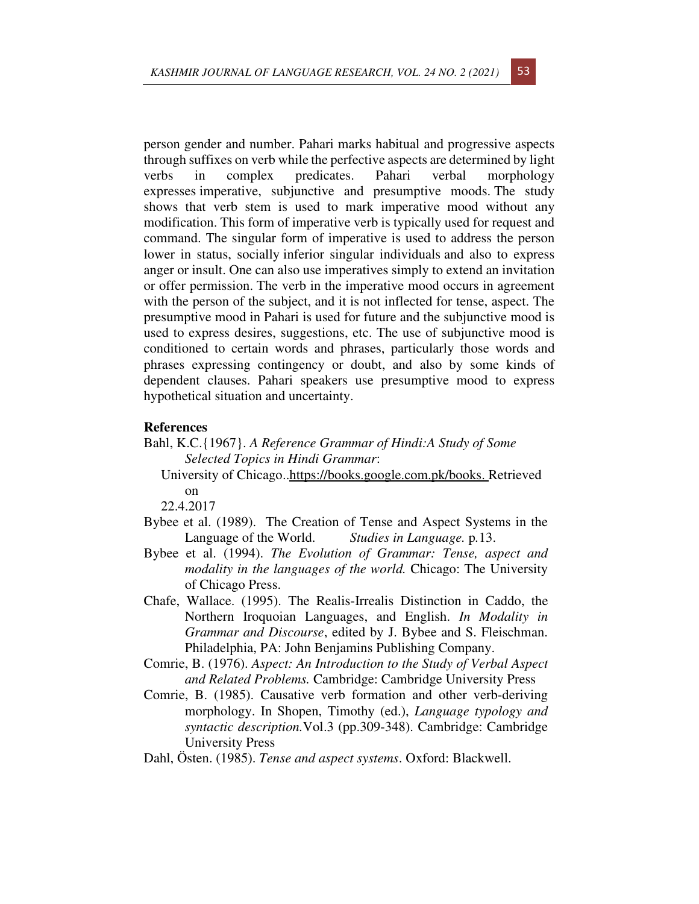person gender and number. Pahari marks habitual and progressive aspects through suffixes on verb while the perfective aspects are determined by light verbs in complex predicates. Pahari verbal morphology expresses imperative, subjunctive and presumptive moods. The study shows that verb stem is used to mark imperative mood without any modification. This form of imperative verb is typically used for request and command. The singular form of imperative is used to address the person lower in status, socially inferior singular individuals and also to express anger or insult. One can also use imperatives simply to extend an invitation or offer permission. The verb in the imperative mood occurs in agreement with the person of the subject, and it is not inflected for tense, aspect. The presumptive mood in Pahari is used for future and the subjunctive mood is used to express desires, suggestions, etc. The use of subjunctive mood is conditioned to certain words and phrases, particularly those words and phrases expressing contingency or doubt, and also by some kinds of dependent clauses. Pahari speakers use presumptive mood to express hypothetical situation and uncertainty.

## **References**

- Bahl, K.C.{1967}. *A Reference Grammar of Hindi:A Study of Some Selected Topics in Hindi Grammar*:
	- University of Chicago..https://books.google.com.pk/books. Retrieved on

22.4.2017

- Bybee et al. (1989). The Creation of Tense and Aspect Systems in the Language of the World. *Studies in Language.* p*.*13.
- Bybee et al. (1994). *The Evolution of Grammar: Tense, aspect and modality in the languages of the world.* Chicago: The University of Chicago Press.
- Chafe, Wallace. (1995). The Realis-Irrealis Distinction in Caddo, the Northern Iroquoian Languages, and English. *In Modality in Grammar and Discourse*, edited by J. Bybee and S. Fleischman. Philadelphia, PA: John Benjamins Publishing Company.
- Comrie, B. (1976). *Aspect: An Introduction to the Study of Verbal Aspect and Related Problems.* Cambridge: Cambridge University Press
- Comrie, B. (1985). Causative verb formation and other verb-deriving morphology. In Shopen, Timothy (ed.), *Language typology and syntactic description.*Vol.3 (pp.309-348). Cambridge: Cambridge University Press
- Dahl, Östen. (1985). *Tense and aspect systems*. Oxford: Blackwell.